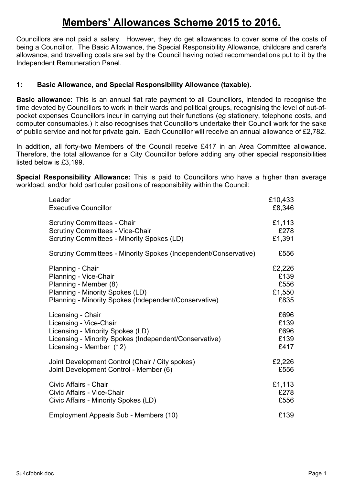# **Members' Allowances Scheme 2015 to 2016.**

Councillors are not paid a salary. However, they do get allowances to cover some of the costs of being a Councillor. The Basic Allowance, the Special Responsibility Allowance, childcare and carer's allowance, and travelling costs are set by the Council having noted recommendations put to it by the Independent Remuneration Panel.

# **1: Basic Allowance, and Special Responsibility Allowance (taxable).**

**Basic allowance:** This is an annual flat rate payment to all Councillors, intended to recognise the time devoted by Councillors to work in their wards and political groups, recognising the level of out-ofpocket expenses Councillors incur in carrying out their functions (eg stationery, telephone costs, and computer consumables.) It also recognises that Councillors undertake their Council work for the sake of public service and not for private gain. Each Councillor will receive an annual allowance of £2,782.

In addition, all forty-two Members of the Council receive £417 in an Area Committee allowance. Therefore, the total allowance for a City Councillor before adding any other special responsibilities listed below is £3,199.

**Special Responsibility Allowance:** This is paid to Councillors who have a higher than average workload, and/or hold particular positions of responsibility within the Council:

| Leader                                                           | £10,433 |
|------------------------------------------------------------------|---------|
| <b>Executive Councillor</b>                                      | £8,346  |
| <b>Scrutiny Committees - Chair</b>                               | £1,113  |
| <b>Scrutiny Committees - Vice-Chair</b>                          | £278    |
| <b>Scrutiny Committees - Minority Spokes (LD)</b>                | £1,391  |
| Scrutiny Committees - Minority Spokes (Independent/Conservative) | £556    |
| Planning - Chair                                                 | £2,226  |
| Planning - Vice-Chair                                            | £139    |
| Planning - Member (8)                                            | £556    |
| Planning - Minority Spokes (LD)                                  | £1,550  |
| Planning - Minority Spokes (Independent/Conservative)            | £835    |
| Licensing - Chair                                                | £696    |
| Licensing - Vice-Chair                                           | £139    |
| Licensing - Minority Spokes (LD)                                 | £696    |
| Licensing - Minority Spokes (Independent/Conservative)           | £139    |
| Licensing - Member (12)                                          | £417    |
| Joint Development Control (Chair / City spokes)                  | £2,226  |
| Joint Development Control - Member (6)                           | £556    |
| Civic Affairs - Chair                                            | £1,113  |
| Civic Affairs - Vice-Chair                                       | £278    |
| Civic Affairs - Minority Spokes (LD)                             | £556    |
| Employment Appeals Sub - Members (10)                            | £139    |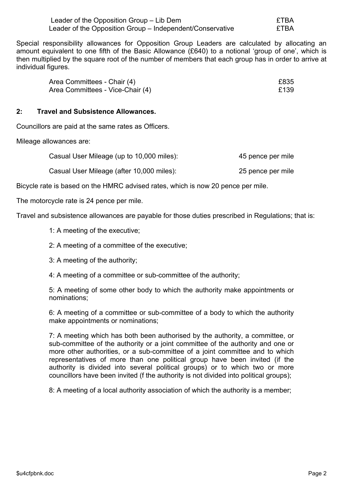| Leader of the Opposition Group – Lib Dem                  | £TBA |
|-----------------------------------------------------------|------|
| Leader of the Opposition Group – Independent/Conservative | £TBA |

Special responsibility allowances for Opposition Group Leaders are calculated by allocating an amount equivalent to one fifth of the Basic Allowance (£640) to a notional 'group of one', which is then multiplied by the square root of the number of members that each group has in order to arrive at individual figures.

| Area Committees - Chair (4)      | £835 |
|----------------------------------|------|
| Area Committees - Vice-Chair (4) | £139 |

## **2: Travel and Subsistence Allowances.**

Councillors are paid at the same rates as Officers.

Mileage allowances are:

| Casual User Mileage (up to 10,000 miles): | 45 pence per mile |
|-------------------------------------------|-------------------|
| Casual User Mileage (after 10,000 miles): | 25 pence per mile |

Bicycle rate is based on the HMRC advised rates, which is now 20 pence per mile.

The motorcycle rate is 24 pence per mile.

Travel and subsistence allowances are payable for those duties prescribed in Regulations; that is:

- 1: A meeting of the executive;
- 2: A meeting of a committee of the executive;
- 3: A meeting of the authority;
- 4: A meeting of a committee or sub-committee of the authority;

5: A meeting of some other body to which the authority make appointments or nominations;

6: A meeting of a committee or sub-committee of a body to which the authority make appointments or nominations;

7: A meeting which has both been authorised by the authority, a committee, or sub-committee of the authority or a joint committee of the authority and one or more other authorities, or a sub-committee of a joint committee and to which representatives of more than one political group have been invited (if the authority is divided into several political groups) or to which two or more councillors have been invited (f the authority is not divided into political groups);

8: A meeting of a local authority association of which the authority is a member;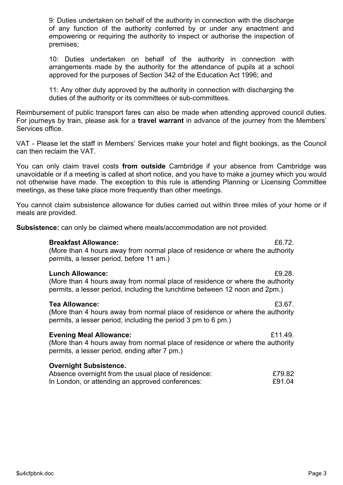9: Duties undertaken on behalf of the authority in connection with the discharge of any function of the authority conferred by or under any enactment and empowering or requiring the authority to inspect or authorise the inspection of premises;

10: Duties undertaken on behalf of the authority in connection with arrangements made by the authority for the attendance of pupils at a school approved for the purposes of Section 342 of the Education Act 1996; and

11: Any other duty approved by the authority in connection with discharging the duties of the authority or its committees or sub-committees.

Reimbursement of public transport fares can also be made when attending approved council duties. For journeys by train, please ask for a **travel warrant** in advance of the journey from the Members' Services office.

VAT - Please let the staff in Members' Services make your hotel and flight bookings, as the Council can then reclaim the VAT.

You can only claim travel costs **from outside** Cambridge if your absence from Cambridge was unavoidable or if a meeting is called at short notice, and you have to make a journey which you would not otherwise have made. The exception to this rule is attending Planning or Licensing Committee meetings, as these take place more frequently than other meetings.

You cannot claim subsistence allowance for duties carried out within three miles of your home or if meals are provided.

**Subsistence:** can only be claimed where meals/accommodation are not provided.

#### **Breakfast Allowance:** £6.72.

(More than 4 hours away from normal place of residence or where the authority permits, a lesser period, before 11 am.)

#### **Lunch Allowance:** £9.28.

(More than 4 hours away from normal place of residence or where the authority permits, a lesser period, including the lunchtime between 12 noon and 2pm.)

#### **Tea Allowance:** £3.67.

(More than 4 hours away from normal place of residence or where the authority permits, a lesser period, including the period 3 pm to 6 pm.)

#### **Evening Meal Allowance:** £11.49. (More than 4 hours away from normal place of residence or where the authority permits, a lesser period, ending after 7 pm.)

## **Overnight Subsistence.**

| Absence overnight from the usual place of residence: | £79.82 |
|------------------------------------------------------|--------|
| In London, or attending an approved conferences:     | £91.04 |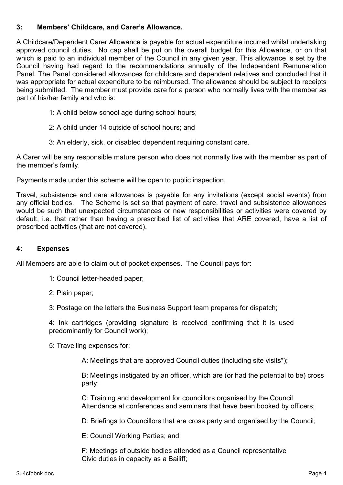# **3: Members' Childcare, and Carer's Allowance.**

A Childcare/Dependent Carer Allowance is payable for actual expenditure incurred whilst undertaking approved council duties. No cap shall be put on the overall budget for this Allowance, or on that which is paid to an individual member of the Council in any given year. This allowance is set by the Council having had regard to the recommendations annually of the Independent Remuneration Panel. The Panel considered allowances for childcare and dependent relatives and concluded that it was appropriate for actual expenditure to be reimbursed. The allowance should be subject to receipts being submitted. The member must provide care for a person who normally lives with the member as part of his/her family and who is:

- 1: A child below school age during school hours;
- 2: A child under 14 outside of school hours; and
- 3: An elderly, sick, or disabled dependent requiring constant care.

A Carer will be any responsible mature person who does not normally live with the member as part of the member's family.

Payments made under this scheme will be open to public inspection.

Travel, subsistence and care allowances is payable for any invitations (except social events) from any official bodies. The Scheme is set so that payment of care, travel and subsistence allowances would be such that unexpected circumstances or new responsibilities or activities were covered by default, i.e. that rather than having a prescribed list of activities that ARE covered, have a list of proscribed activities (that are not covered).

#### **4: Expenses**

All Members are able to claim out of pocket expenses. The Council pays for:

- 1: Council letter-headed paper;
- 2: Plain paper;
- 3: Postage on the letters the Business Support team prepares for dispatch;

4: Ink cartridges (providing signature is received confirming that it is used predominantly for Council work);

5: Travelling expenses for:

A: Meetings that are approved Council duties (including site visits\*);

B: Meetings instigated by an officer, which are (or had the potential to be) cross party;

C: Training and development for councillors organised by the Council Attendance at conferences and seminars that have been booked by officers;

D: Briefings to Councillors that are cross party and organised by the Council;

E: Council Working Parties; and

F: Meetings of outside bodies attended as a Council representative Civic duties in capacity as a Bailiff;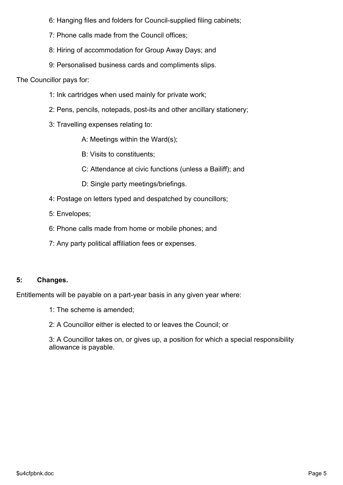6: Hanging files and folders for Council-supplied filing cabinets;

- 7: Phone calls made from the Council offices;
- 8: Hiring of accommodation for Group Away Days; and
- 9: Personalised business cards and compliments slips.

The Councillor pays for:

- 1: Ink cartridges when used mainly for private work;
- 2: Pens, pencils, notepads, post-its and other ancillary stationery;
- 3: Travelling expenses relating to:
	- A: Meetings within the Ward(s);
	- B: Visits to constituents;
	- C: Attendance at civic functions (unless a Bailiff); and
	- D: Single party meetings/briefings.
- 4: Postage on letters typed and despatched by councillors;
- 5: Envelopes;
- 6: Phone calls made from home or mobile phones; and
- 7: Any party political affiliation fees or expenses.

# **5: Changes.**

Entitlements will be payable on a part-year basis in any given year where:

- 1: The scheme is amended;
- 2: A Councillor either is elected to or leaves the Council; or

3: A Councillor takes on, or gives up, a position for which a special responsibility allowance is payable.